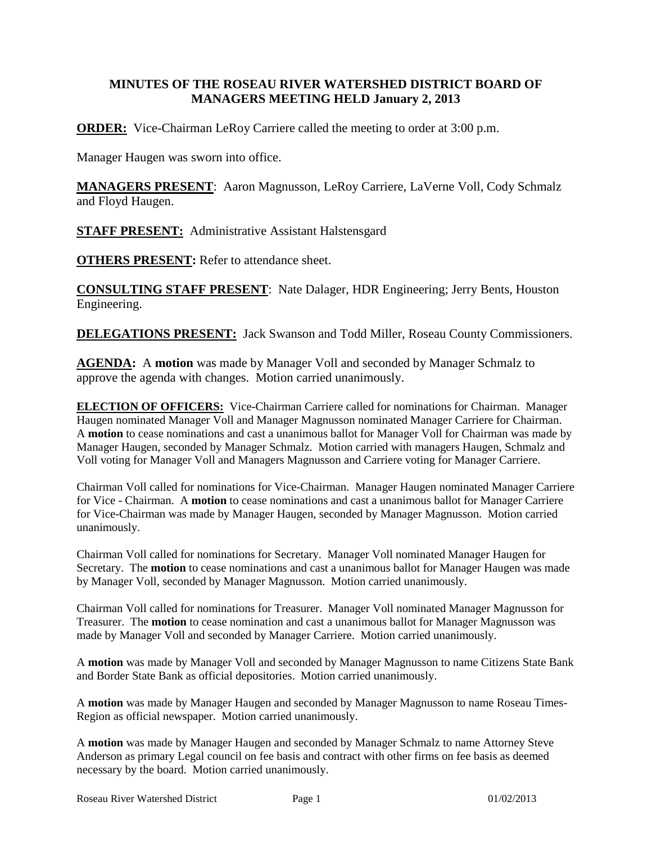## **MINUTES OF THE ROSEAU RIVER WATERSHED DISTRICT BOARD OF MANAGERS MEETING HELD January 2, 2013**

**ORDER:** Vice-Chairman LeRoy Carriere called the meeting to order at 3:00 p.m.

Manager Haugen was sworn into office.

**MANAGERS PRESENT**: Aaron Magnusson, LeRoy Carriere, LaVerne Voll, Cody Schmalz and Floyd Haugen.

**STAFF PRESENT:** Administrative Assistant Halstensgard

**OTHERS PRESENT:** Refer to attendance sheet.

**CONSULTING STAFF PRESENT**: Nate Dalager, HDR Engineering; Jerry Bents, Houston Engineering.

**DELEGATIONS PRESENT:** Jack Swanson and Todd Miller, Roseau County Commissioners.

**AGENDA:** A **motion** was made by Manager Voll and seconded by Manager Schmalz to approve the agenda with changes. Motion carried unanimously.

**ELECTION OF OFFICERS:** Vice-Chairman Carriere called for nominations for Chairman. Manager Haugen nominated Manager Voll and Manager Magnusson nominated Manager Carriere for Chairman. A **motion** to cease nominations and cast a unanimous ballot for Manager Voll for Chairman was made by Manager Haugen, seconded by Manager Schmalz. Motion carried with managers Haugen, Schmalz and Voll voting for Manager Voll and Managers Magnusson and Carriere voting for Manager Carriere.

Chairman Voll called for nominations for Vice-Chairman. Manager Haugen nominated Manager Carriere for Vice - Chairman. A **motion** to cease nominations and cast a unanimous ballot for Manager Carriere for Vice-Chairman was made by Manager Haugen, seconded by Manager Magnusson. Motion carried unanimously.

Chairman Voll called for nominations for Secretary. Manager Voll nominated Manager Haugen for Secretary. The **motion** to cease nominations and cast a unanimous ballot for Manager Haugen was made by Manager Voll, seconded by Manager Magnusson. Motion carried unanimously.

Chairman Voll called for nominations for Treasurer. Manager Voll nominated Manager Magnusson for Treasurer. The **motion** to cease nomination and cast a unanimous ballot for Manager Magnusson was made by Manager Voll and seconded by Manager Carriere. Motion carried unanimously.

A **motion** was made by Manager Voll and seconded by Manager Magnusson to name Citizens State Bank and Border State Bank as official depositories. Motion carried unanimously.

A **motion** was made by Manager Haugen and seconded by Manager Magnusson to name Roseau Times-Region as official newspaper. Motion carried unanimously.

A **motion** was made by Manager Haugen and seconded by Manager Schmalz to name Attorney Steve Anderson as primary Legal council on fee basis and contract with other firms on fee basis as deemed necessary by the board. Motion carried unanimously.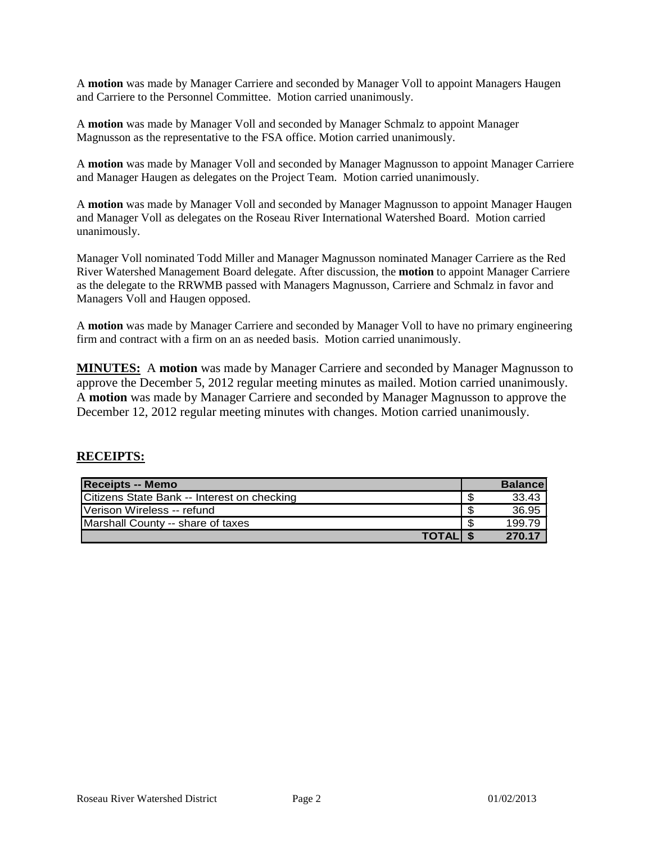A **motion** was made by Manager Carriere and seconded by Manager Voll to appoint Managers Haugen and Carriere to the Personnel Committee. Motion carried unanimously.

A **motion** was made by Manager Voll and seconded by Manager Schmalz to appoint Manager Magnusson as the representative to the FSA office. Motion carried unanimously.

A **motion** was made by Manager Voll and seconded by Manager Magnusson to appoint Manager Carriere and Manager Haugen as delegates on the Project Team. Motion carried unanimously.

A **motion** was made by Manager Voll and seconded by Manager Magnusson to appoint Manager Haugen and Manager Voll as delegates on the Roseau River International Watershed Board. Motion carried unanimously.

Manager Voll nominated Todd Miller and Manager Magnusson nominated Manager Carriere as the Red River Watershed Management Board delegate. After discussion, the **motion** to appoint Manager Carriere as the delegate to the RRWMB passed with Managers Magnusson, Carriere and Schmalz in favor and Managers Voll and Haugen opposed.

A **motion** was made by Manager Carriere and seconded by Manager Voll to have no primary engineering firm and contract with a firm on an as needed basis. Motion carried unanimously.

**MINUTES:** A **motion** was made by Manager Carriere and seconded by Manager Magnusson to approve the December 5, 2012 regular meeting minutes as mailed. Motion carried unanimously. A **motion** was made by Manager Carriere and seconded by Manager Magnusson to approve the December 12, 2012 regular meeting minutes with changes. Motion carried unanimously.

#### **RECEIPTS:**

| <b>Receipts -- Memo</b>                     |    | <b>Balancel</b> |
|---------------------------------------------|----|-----------------|
| Citizens State Bank -- Interest on checking | S  | 33.43           |
| <b>IVerison Wireless -- refund</b>          | £. | 36.95           |
| Marshall County -- share of taxes           | \$ | 199.79          |
| <b>TOTALIS</b>                              |    | 270.17          |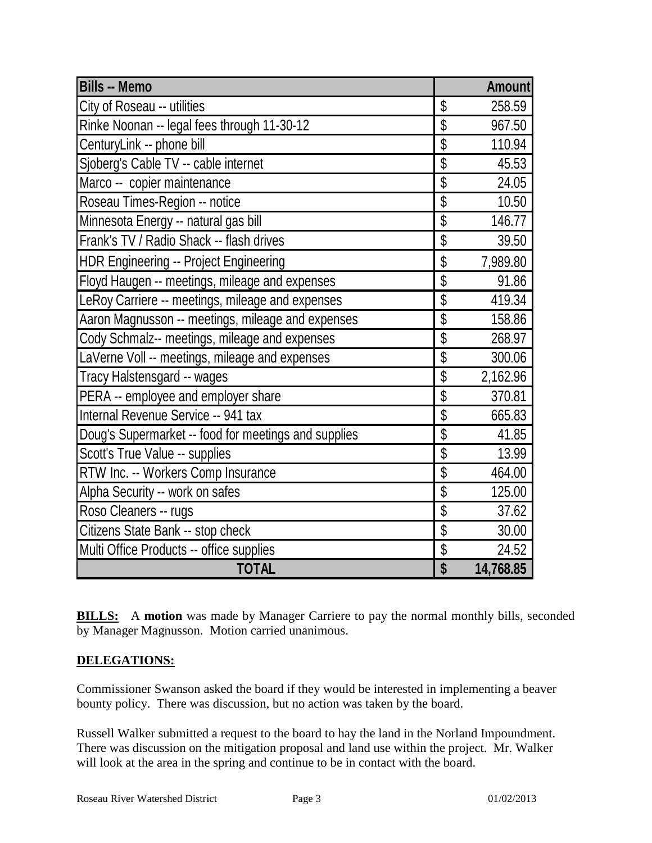| <b>Bills -- Memo</b>                                 |                                      | Amount    |
|------------------------------------------------------|--------------------------------------|-----------|
| City of Roseau -- utilities                          | \$                                   | 258.59    |
| Rinke Noonan -- legal fees through 11-30-12          | \$                                   | 967.50    |
| CenturyLink -- phone bill                            | \$                                   | 110.94    |
| Sjoberg's Cable TV -- cable internet                 | $\overline{\$}$                      | 45.53     |
| Marco -- copier maintenance                          | \$                                   | 24.05     |
| Roseau Times-Region -- notice                        | \$                                   | 10.50     |
| Minnesota Energy -- natural gas bill                 | \$                                   | 146.77    |
| Frank's TV / Radio Shack -- flash drives             | \$                                   | 39.50     |
| HDR Engineering -- Project Engineering               | \$                                   | 7,989.80  |
| Floyd Haugen -- meetings, mileage and expenses       | \$                                   | 91.86     |
| LeRoy Carriere -- meetings, mileage and expenses     | \$                                   | 419.34    |
| Aaron Magnusson -- meetings, mileage and expenses    | $\overline{\mathcal{S}}$             | 158.86    |
| Cody Schmalz-- meetings, mileage and expenses        | \$                                   | 268.97    |
| LaVerne Voll -- meetings, mileage and expenses       | \$                                   | 300.06    |
| Tracy Halstensgard -- wages                          | \$                                   | 2,162.96  |
| PERA -- employee and employer share                  | \$                                   | 370.81    |
| Internal Revenue Service -- 941 tax                  | \$                                   | 665.83    |
| Doug's Supermarket -- food for meetings and supplies | \$                                   | 41.85     |
| Scott's True Value -- supplies                       | \$                                   | 13.99     |
| RTW Inc. -- Workers Comp Insurance                   | \$                                   | 464.00    |
| Alpha Security -- work on safes                      | \$                                   | 125.00    |
| Roso Cleaners -- rugs                                | \$                                   | 37.62     |
| Citizens State Bank -- stop check                    | \$                                   | 30.00     |
| Multi Office Products -- office supplies             | \$                                   | 24.52     |
| <b>TOTAL</b>                                         | $\overline{\boldsymbol{\mathsf{S}}}$ | 14,768.85 |

**BILLS:** A motion was made by Manager Carriere to pay the normal monthly bills, seconded by Manager Magnusson. Motion carried unanimous.

## **DELEGATIONS:**

Commissioner Swanson asked the board if they would be interested in implementing a beaver bounty policy. There was discussion, but no action was taken by the board.

Russell Walker submitted a request to the board to hay the land in the Norland Impoundment. There was discussion on the mitigation proposal and land use within the project. Mr. Walker will look at the area in the spring and continue to be in contact with the board.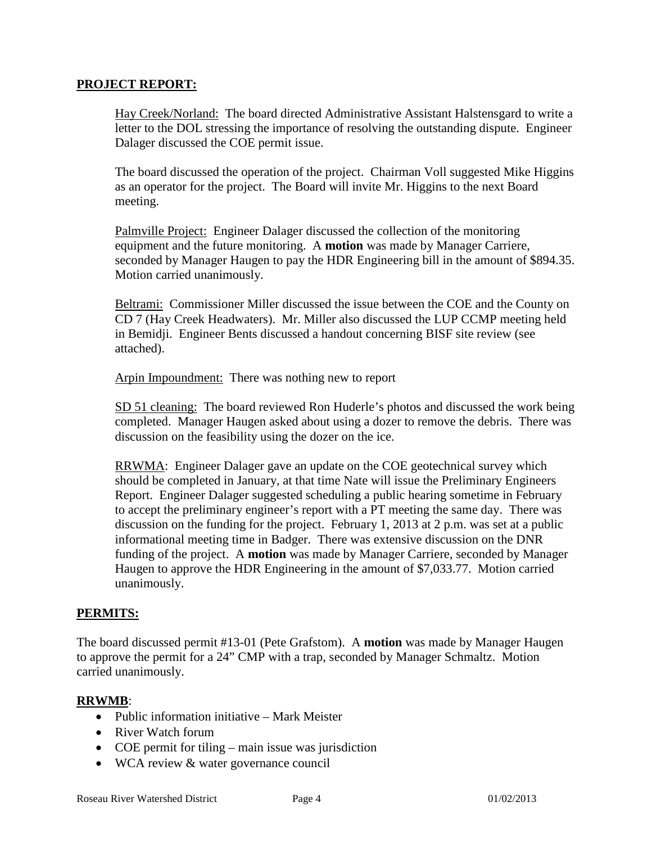#### **PROJECT REPORT:**

Hay Creek/Norland: The board directed Administrative Assistant Halstensgard to write a letter to the DOL stressing the importance of resolving the outstanding dispute. Engineer Dalager discussed the COE permit issue.

The board discussed the operation of the project. Chairman Voll suggested Mike Higgins as an operator for the project. The Board will invite Mr. Higgins to the next Board meeting.

Palmville Project: Engineer Dalager discussed the collection of the monitoring equipment and the future monitoring. A **motion** was made by Manager Carriere, seconded by Manager Haugen to pay the HDR Engineering bill in the amount of \$894.35. Motion carried unanimously.

Beltrami: Commissioner Miller discussed the issue between the COE and the County on CD 7 (Hay Creek Headwaters). Mr. Miller also discussed the LUP CCMP meeting held in Bemidji. Engineer Bents discussed a handout concerning BISF site review (see attached).

Arpin Impoundment: There was nothing new to report

SD 51 cleaning: The board reviewed Ron Huderle's photos and discussed the work being completed. Manager Haugen asked about using a dozer to remove the debris. There was discussion on the feasibility using the dozer on the ice.

RRWMA: Engineer Dalager gave an update on the COE geotechnical survey which should be completed in January, at that time Nate will issue the Preliminary Engineers Report. Engineer Dalager suggested scheduling a public hearing sometime in February to accept the preliminary engineer's report with a PT meeting the same day. There was discussion on the funding for the project. February 1, 2013 at 2 p.m. was set at a public informational meeting time in Badger. There was extensive discussion on the DNR funding of the project. A **motion** was made by Manager Carriere, seconded by Manager Haugen to approve the HDR Engineering in the amount of \$7,033.77. Motion carried unanimously.

#### **PERMITS:**

The board discussed permit #13-01 (Pete Grafstom). A **motion** was made by Manager Haugen to approve the permit for a 24" CMP with a trap, seconded by Manager Schmaltz. Motion carried unanimously.

#### **RRWMB**:

- Public information initiative Mark Meister
- River Watch forum
- COE permit for tiling main issue was jurisdiction
- WCA review & water governance council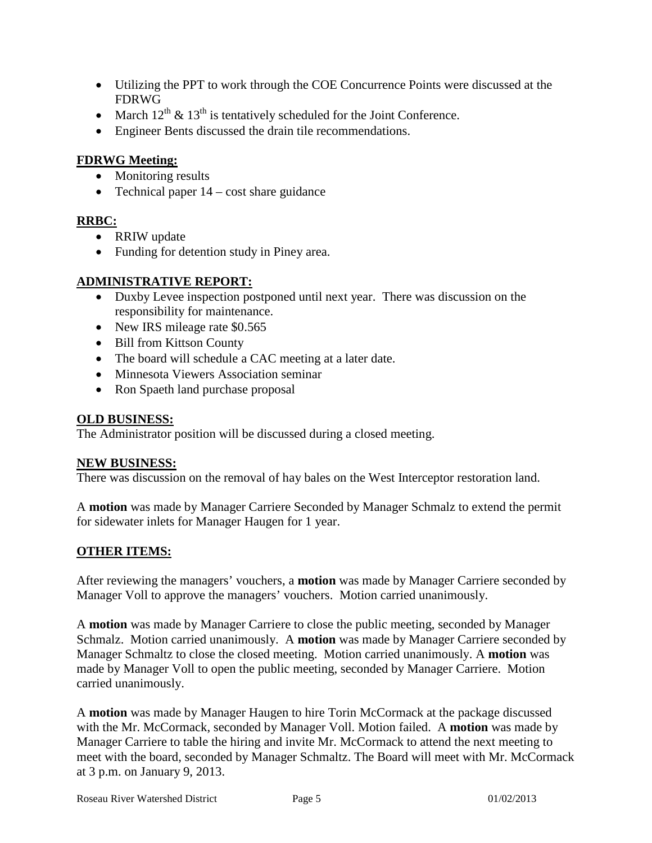- Utilizing the PPT to work through the COE Concurrence Points were discussed at the FDRWG
- March  $12^{th}$  &  $13^{th}$  is tentatively scheduled for the Joint Conference.
- Engineer Bents discussed the drain tile recommendations.

## **FDRWG Meeting:**

- Monitoring results
- Technical paper  $14 \text{cost share guidance}$

# **RRBC:**

- RRIW update
- Funding for detention study in Piney area.

## **ADMINISTRATIVE REPORT:**

- Duxby Levee inspection postponed until next year. There was discussion on the responsibility for maintenance.
- New IRS mileage rate \$0.565
- Bill from Kittson County
- The board will schedule a CAC meeting at a later date.
- Minnesota Viewers Association seminar
- Ron Spaeth land purchase proposal

### **OLD BUSINESS:**

The Administrator position will be discussed during a closed meeting.

#### **NEW BUSINESS:**

There was discussion on the removal of hay bales on the West Interceptor restoration land.

A **motion** was made by Manager Carriere Seconded by Manager Schmalz to extend the permit for sidewater inlets for Manager Haugen for 1 year.

## **OTHER ITEMS:**

After reviewing the managers' vouchers, a **motion** was made by Manager Carriere seconded by Manager Voll to approve the managers' vouchers. Motion carried unanimously.

A **motion** was made by Manager Carriere to close the public meeting, seconded by Manager Schmalz. Motion carried unanimously. A **motion** was made by Manager Carriere seconded by Manager Schmaltz to close the closed meeting. Motion carried unanimously. A **motion** was made by Manager Voll to open the public meeting, seconded by Manager Carriere. Motion carried unanimously.

A **motion** was made by Manager Haugen to hire Torin McCormack at the package discussed with the Mr. McCormack, seconded by Manager Voll. Motion failed. A **motion** was made by Manager Carriere to table the hiring and invite Mr. McCormack to attend the next meeting to meet with the board, seconded by Manager Schmaltz. The Board will meet with Mr. McCormack at 3 p.m. on January 9, 2013.